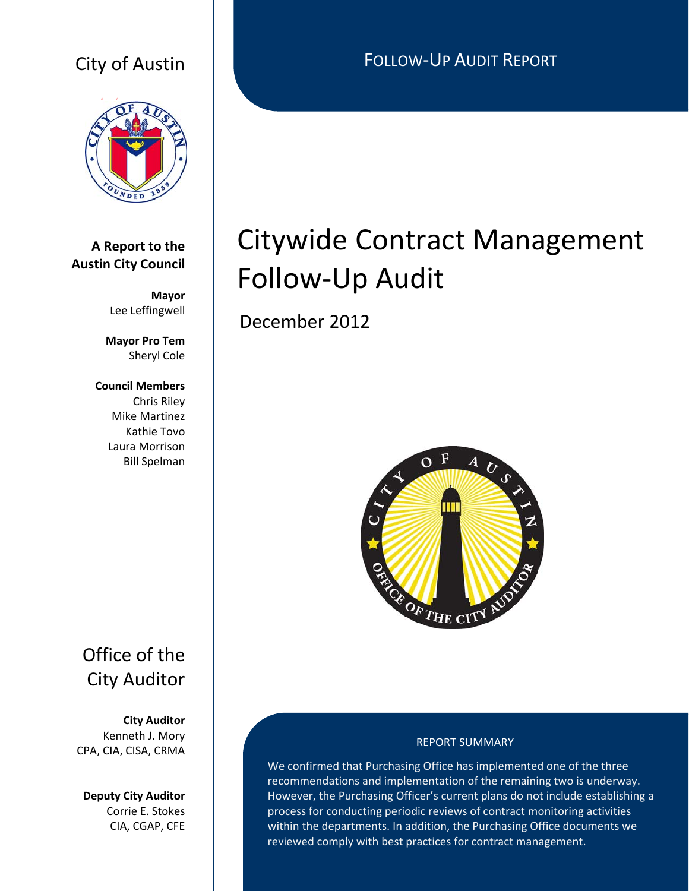# City of Austin



## **A Report to the Austin City Council**

**Mayor** Lee Leffingwell

**Mayor Pro Tem** Sheryl Cole

 **Council Members** Chris Riley Mike Martinez Kathie Tovo Laura Morrison Bill Spelman

# Office of the City Auditor

**City Auditor** Kenneth J. Mory CPA, CIA, CISA, CRMA

**Deputy City Auditor** Corrie E. Stokes CIA, CGAP, CFE

# FOLLOW‐UP AUDIT REPORT

# Citywide Contract Management Follow‐Up Audit

December 2012



#### REPORT SUMMARY

We confirmed that Purchasing Office has implemented one of the three recommendations and implementation of the remaining two is underway. However, the Purchasing Officer's current plans do not include establishing a process for conducting periodic reviews of contract monitoring activities within the departments. In addition, the Purchasing Office documents we reviewed comply with best practices for contract management.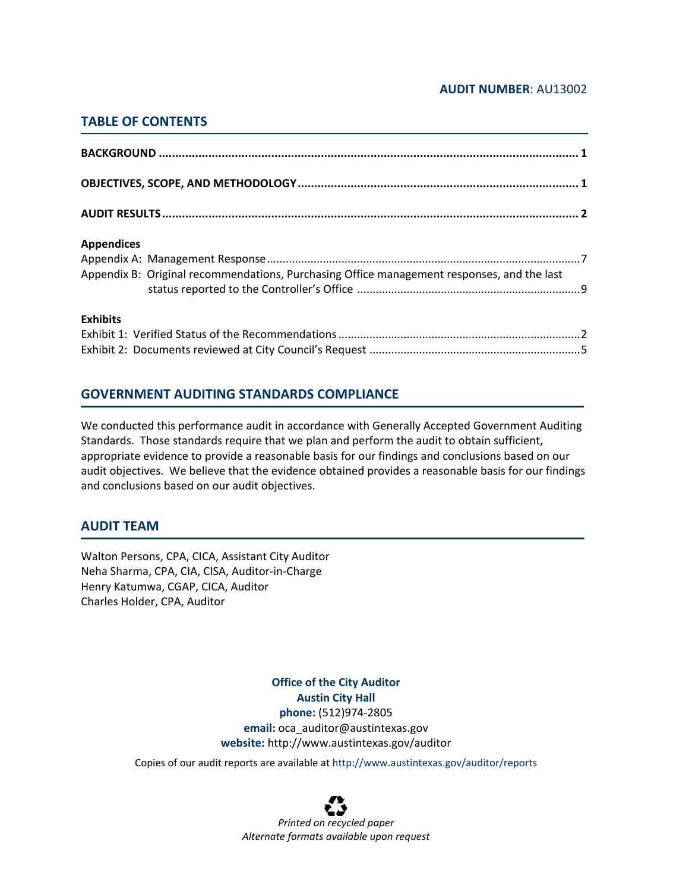#### **AUDIT NUMBER**: AU13002

### **TABLE OF CONTENTS**

| <b>Appendices</b><br>Appendix B: Original recommendations, Purchasing Office management responses, and the last |  |
|-----------------------------------------------------------------------------------------------------------------|--|
| <b>Exhibits</b>                                                                                                 |  |

## **GOVERNMENT AUDITING STANDARDS COMPLIANCE**

We conducted this performance audit in accordance with Generally Accepted Government Auditing Standards. Those standards require that we plan and perform the audit to obtain sufficient, appropriate evidence to provide a reasonable basis for our findings and conclusions based on our audit objectives. We believe that the evidence obtained provides a reasonable basis for our findings and conclusions based on our audit objectives.

### **AUDIT TEAM**

Walton Persons, CPA, CICA, Assistant City Auditor Neha Sharma, CPA, CIA, CISA, Auditor‐in‐Charge Henry Katumwa, CGAP, CICA, Auditor Charles Holder, CPA, Auditor

> **Office of the City Auditor Austin City Hall phone:** (512)974‐2805 **email:** oca\_auditor@austintexas.gov **website:** http://www.austintexas.gov/auditor

Copies of our audit reports are available at http://www.austintexas.gov/auditor/reports

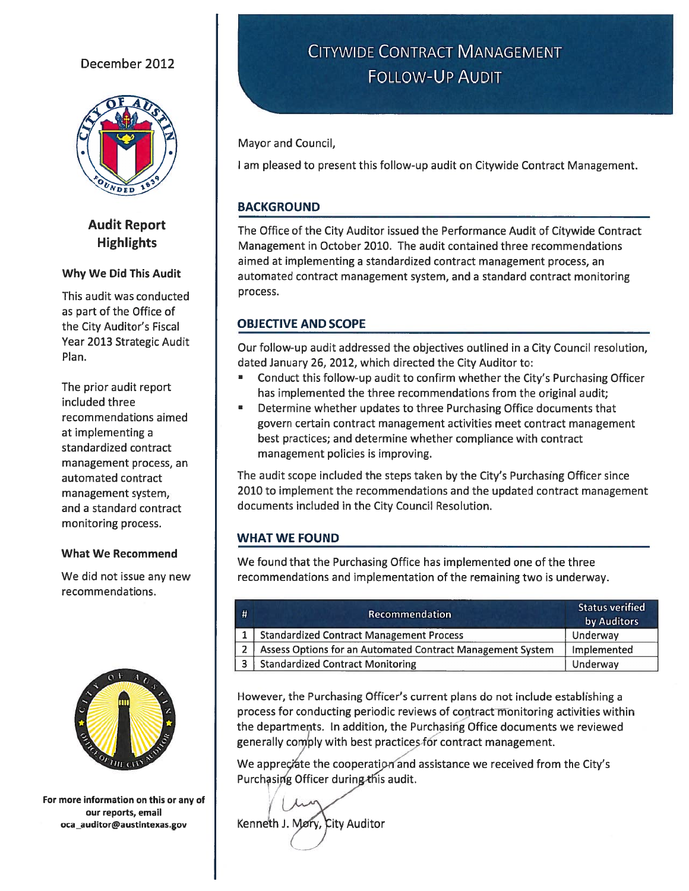## December 2012



**Audit Report Highlights** 

#### Why We Did This Audit

This audit was conducted as part of the Office of the City Auditor's Fiscal Year 2013 Strategic Audit Plan.

The prior audit report included three recommendations aimed at implementing a standardized contract management process, an automated contract management system, and a standard contract monitoring process.

#### **What We Recommend**

We did not issue any new recommendations.



For more information on this or any of our reports, email oca\_auditor@austintexas.gov

# **CITYWIDE CONTRACT MANAGEMENT FOLLOW-UP AUDIT**

Mayor and Council,

I am pleased to present this follow-up audit on Citywide Contract Management.

#### **BACKGROUND**

The Office of the City Auditor issued the Performance Audit of Citywide Contract Management in October 2010. The audit contained three recommendations aimed at implementing a standardized contract management process, an automated contract management system, and a standard contract monitoring process.

#### **OBJECTIVE AND SCOPE**

Our follow-up audit addressed the objectives outlined in a City Council resolution, dated January 26, 2012, which directed the City Auditor to:

- Conduct this follow-up audit to confirm whether the City's Purchasing Officer has implemented the three recommendations from the original audit;
- Determine whether updates to three Purchasing Office documents that govern certain contract management activities meet contract management best practices; and determine whether compliance with contract management policies is improving.

The audit scope included the steps taken by the City's Purchasing Officer since 2010 to implement the recommendations and the updated contract management documents included in the City Council Resolution.

#### **WHAT WE FOUND**

We found that the Purchasing Office has implemented one of the three recommendations and implementation of the remaining two is underway.

| #              | Recommendation                                             | <b>Status verified</b><br>by Auditors |
|----------------|------------------------------------------------------------|---------------------------------------|
|                | <b>Standardized Contract Management Process</b>            | Underway                              |
| $\overline{2}$ | Assess Options for an Automated Contract Management System | Implemented                           |
| 3              | <b>Standardized Contract Monitoring</b>                    | Underway                              |

However, the Purchasing Officer's current plans do not include establishing a process for conducting periodic reviews of contract monitoring activities within the departments. In addition, the Purchasing Office documents we reviewed generally comply with best practices for contract management.

We appreciate the cooperation and assistance we received from the City's Purchasing Officer during this audit.

Kenneth J. Mory, City Auditor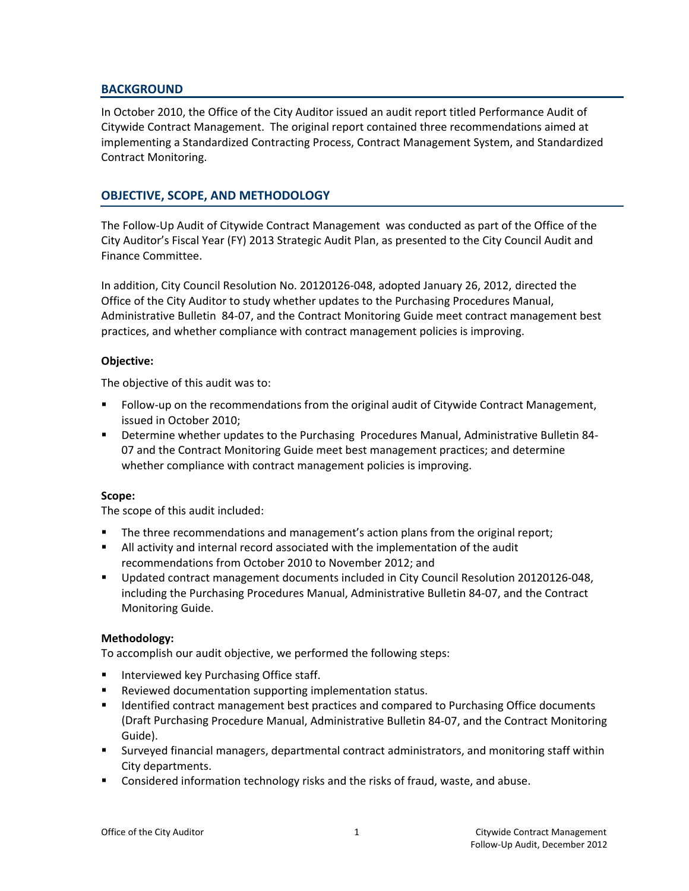#### **BACKGROUND**

In October 2010, the Office of the City Auditor issued an audit report titled Performance Audit of Citywide Contract Management. The original report contained three recommendations aimed at implementing a Standardized Contracting Process, Contract Management System, and Standardized Contract Monitoring.

#### **OBJECTIVE, SCOPE, AND METHODOLOGY**

The Follow‐Up Audit of Citywide Contract Management was conducted as part of the Office of the City Auditor's Fiscal Year (FY) 2013 Strategic Audit Plan, as presented to the City Council Audit and Finance Committee.

In addition, City Council Resolution No. 20120126‐048, adopted January 26, 2012, directed the Office of the City Auditor to study whether updates to the Purchasing Procedures Manual, Administrative Bulletin 84‐07, and the Contract Monitoring Guide meet contract management best practices, and whether compliance with contract management policies is improving.

#### **Objective:**

The objective of this audit was to:

- Follow-up on the recommendations from the original audit of Citywide Contract Management, issued in October 2010;
- Determine whether updates to the Purchasing Procedures Manual, Administrative Bulletin 84-07 and the Contract Monitoring Guide meet best management practices; and determine whether compliance with contract management policies is improving.

#### **Scope:**

The scope of this audit included:

- The three recommendations and management's action plans from the original report;
- All activity and internal record associated with the implementation of the audit recommendations from October 2010 to November 2012; and
- Updated contract management documents included in City Council Resolution 20120126-048, including the Purchasing Procedures Manual, Administrative Bulletin 84‐07, and the Contract Monitoring Guide.

#### **Methodology:**

To accomplish our audit objective, we performed the following steps:

- **Interviewed key Purchasing Office staff.**
- **Reviewed documentation supporting implementation status.**
- **If Immum** Identified contract management best practices and compared to Purchasing Office documents (Draft Purchasing Procedure Manual, Administrative Bulletin 84‐07, and the Contract Monitoring Guide).
- Surveyed financial managers, departmental contract administrators, and monitoring staff within City departments.
- Considered information technology risks and the risks of fraud, waste, and abuse.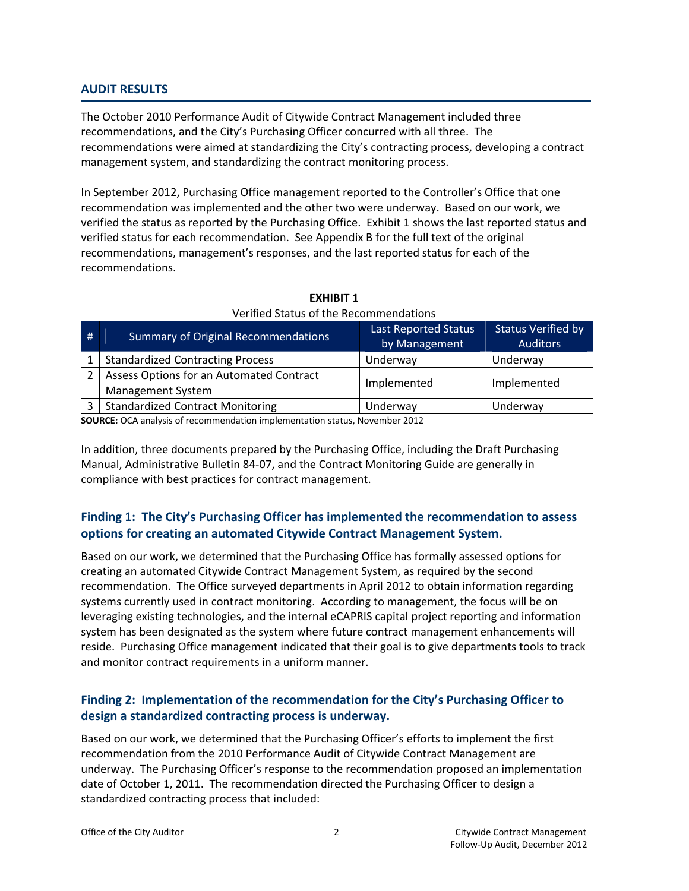#### **AUDIT RESULTS**

The October 2010 Performance Audit of Citywide Contract Management included three recommendations, and the City's Purchasing Officer concurred with all three. The recommendations were aimed at standardizing the City's contracting process, developing a contract management system, and standardizing the contract monitoring process.

In September 2012, Purchasing Office management reported to the Controller's Office that one recommendation was implemented and the other two were underway. Based on our work, we verified the status as reported by the Purchasing Office. Exhibit 1 shows the last reported status and verified status for each recommendation. See Appendix B for the full text of the original recommendations, management's responses, and the last reported status for each of the recommendations.

| # | <b>Summary of Original Recommendations</b> | <b>Last Reported Status</b><br>by Management | <b>Status Verified by</b><br><b>Auditors</b> |
|---|--------------------------------------------|----------------------------------------------|----------------------------------------------|
|   | <b>Standardized Contracting Process</b>    | Underway                                     | Underway                                     |
|   | Assess Options for an Automated Contract   |                                              |                                              |
|   | <b>Management System</b>                   | Implemented                                  | Implemented                                  |
|   | <b>Standardized Contract Monitoring</b>    | Underway                                     | Underway                                     |

#### **EXHIBIT 1** Verified Status of the Recommendations

**SOURCE:** OCA analysis of recommendation implementation status, November 2012

In addition, three documents prepared by the Purchasing Office, including the Draft Purchasing Manual, Administrative Bulletin 84‐07, and the Contract Monitoring Guide are generally in compliance with best practices for contract management.

#### **Finding 1: The City's Purchasing Officer has implemented the recommendation to assess options for creating an automated Citywide Contract Management System.**

Based on our work, we determined that the Purchasing Office has formally assessed options for creating an automated Citywide Contract Management System, as required by the second recommendation. The Office surveyed departments in April 2012 to obtain information regarding systems currently used in contract monitoring. According to management, the focus will be on leveraging existing technologies, and the internal eCAPRIS capital project reporting and information system has been designated as the system where future contract management enhancements will reside. Purchasing Office management indicated that their goal is to give departments tools to track and monitor contract requirements in a uniform manner.

### **Finding 2: Implementation of the recommendation for the City's Purchasing Officer to design a standardized contracting process is underway.**

Based on our work, we determined that the Purchasing Officer's efforts to implement the first recommendation from the 2010 Performance Audit of Citywide Contract Management are underway. The Purchasing Officer's response to the recommendation proposed an implementation date of October 1, 2011. The recommendation directed the Purchasing Officer to design a standardized contracting process that included: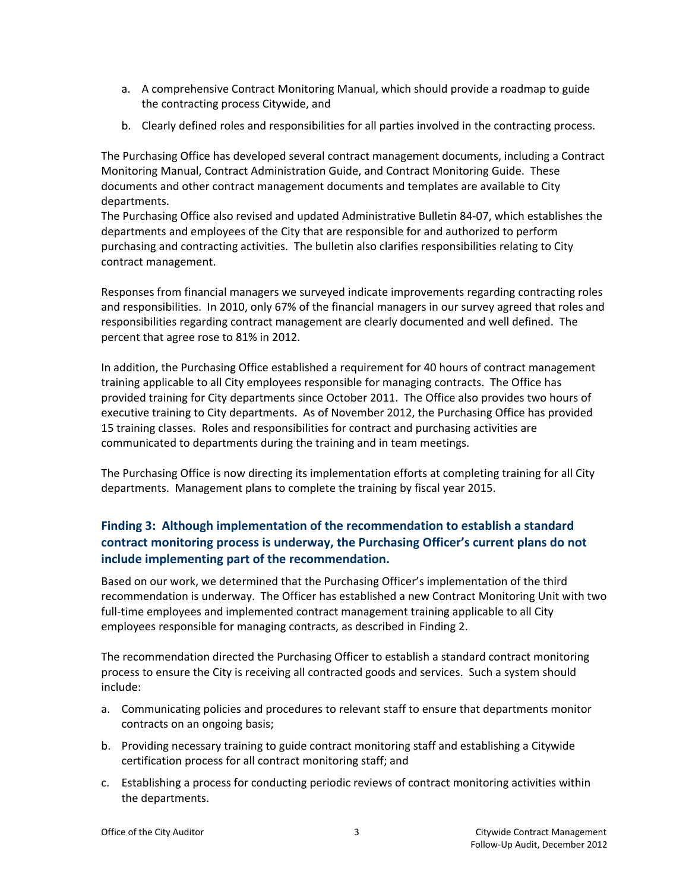- a. A comprehensive Contract Monitoring Manual, which should provide a roadmap to guide the contracting process Citywide, and
- b. Clearly defined roles and responsibilities for all parties involved in the contracting process.

The Purchasing Office has developed several contract management documents, including a Contract Monitoring Manual, Contract Administration Guide, and Contract Monitoring Guide. These documents and other contract management documents and templates are available to City departments.

The Purchasing Office also revised and updated Administrative Bulletin 84‐07, which establishes the departments and employees of the City that are responsible for and authorized to perform purchasing and contracting activities. The bulletin also clarifies responsibilities relating to City contract management.

Responses from financial managers we surveyed indicate improvements regarding contracting roles and responsibilities. In 2010, only 67% of the financial managers in our survey agreed that roles and responsibilities regarding contract management are clearly documented and well defined. The percent that agree rose to 81% in 2012.

In addition, the Purchasing Office established a requirement for 40 hours of contract management training applicable to all City employees responsible for managing contracts. The Office has provided training for City departments since October 2011. The Office also provides two hours of executive training to City departments. As of November 2012, the Purchasing Office has provided 15 training classes. Roles and responsibilities for contract and purchasing activities are communicated to departments during the training and in team meetings.

The Purchasing Office is now directing its implementation efforts at completing training for all City departments. Management plans to complete the training by fiscal year 2015.

## **Finding 3: Although implementation of the recommendation to establish a standard contract monitoring process is underway, the Purchasing Officer's current plans do not include implementing part of the recommendation.**

Based on our work, we determined that the Purchasing Officer's implementation of the third recommendation is underway. The Officer has established a new Contract Monitoring Unit with two full-time employees and implemented contract management training applicable to all City employees responsible for managing contracts, as described in Finding 2.

The recommendation directed the Purchasing Officer to establish a standard contract monitoring process to ensure the City is receiving all contracted goods and services. Such a system should include:

- a. Communicating policies and procedures to relevant staff to ensure that departments monitor contracts on an ongoing basis;
- b. Providing necessary training to guide contract monitoring staff and establishing a Citywide certification process for all contract monitoring staff; and
- c. Establishing a process for conducting periodic reviews of contract monitoring activities within the departments.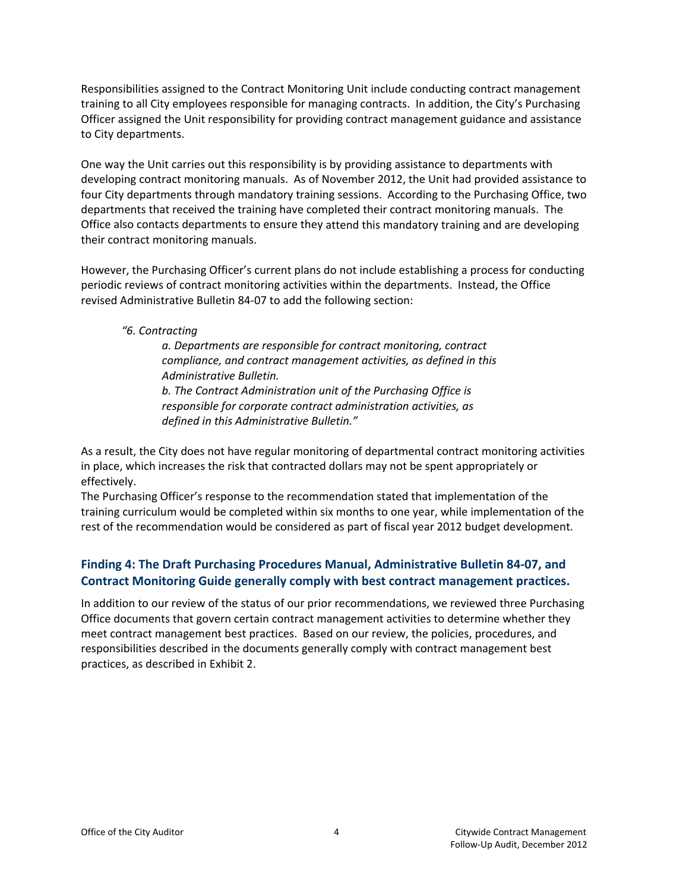Responsibilities assigned to the Contract Monitoring Unit include conducting contract management training to all City employees responsible for managing contracts. In addition, the City's Purchasing Officer assigned the Unit responsibility for providing contract management guidance and assistance to City departments.

One way the Unit carries out this responsibility is by providing assistance to departments with developing contract monitoring manuals. As of November 2012, the Unit had provided assistance to four City departments through mandatory training sessions. According to the Purchasing Office, two departments that received the training have completed their contract monitoring manuals. The Office also contacts departments to ensure they attend this mandatory training and are developing their contract monitoring manuals.

However, the Purchasing Officer's current plans do not include establishing a process for conducting periodic reviews of contract monitoring activities within the departments. Instead, the Office revised Administrative Bulletin 84‐07 to add the following section:

#### *"6. Contracting*

*a. Departments are responsible for contract monitoring, contract compliance, and contract management activities, as defined in this Administrative Bulletin. b. The Contract Administration unit of the Purchasing Office is responsible for corporate contract administration activities, as defined in this Administrative Bulletin."*

As a result, the City does not have regular monitoring of departmental contract monitoring activities in place, which increases the risk that contracted dollars may not be spent appropriately or effectively.

The Purchasing Officer's response to the recommendation stated that implementation of the training curriculum would be completed within six months to one year, while implementation of the rest of the recommendation would be considered as part of fiscal year 2012 budget development.

### **Finding 4: The Draft Purchasing Procedures Manual, Administrative Bulletin 84‐07, and Contract Monitoring Guide generally comply with best contract management practices.**

In addition to our review of the status of our prior recommendations, we reviewed three Purchasing Office documents that govern certain contract management activities to determine whether they meet contract management best practices. Based on our review, the policies, procedures, and responsibilities described in the documents generally comply with contract management best practices, as described in Exhibit 2.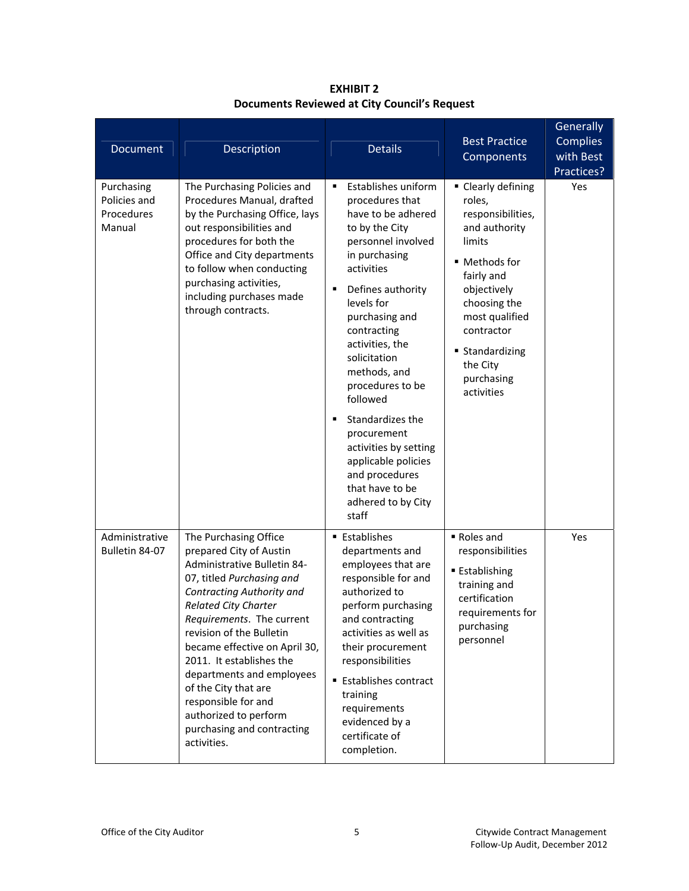| Document                                           | Description                                                                                                                                                                                                                                                                                                                                                                                                                                             | <b>Details</b>                                                                                                                                                                                                                                                                                                                                                                                                                                                   | <b>Best Practice</b><br>Components                                                                                                                                                                                                    | Generally<br><b>Complies</b><br>with Best<br>Practices? |
|----------------------------------------------------|---------------------------------------------------------------------------------------------------------------------------------------------------------------------------------------------------------------------------------------------------------------------------------------------------------------------------------------------------------------------------------------------------------------------------------------------------------|------------------------------------------------------------------------------------------------------------------------------------------------------------------------------------------------------------------------------------------------------------------------------------------------------------------------------------------------------------------------------------------------------------------------------------------------------------------|---------------------------------------------------------------------------------------------------------------------------------------------------------------------------------------------------------------------------------------|---------------------------------------------------------|
| Purchasing<br>Policies and<br>Procedures<br>Manual | The Purchasing Policies and<br>Procedures Manual, drafted<br>by the Purchasing Office, lays<br>out responsibilities and<br>procedures for both the<br>Office and City departments<br>to follow when conducting<br>purchasing activities,<br>including purchases made<br>through contracts.                                                                                                                                                              | Establishes uniform<br>٠<br>procedures that<br>have to be adhered<br>to by the City<br>personnel involved<br>in purchasing<br>activities<br>Defines authority<br>Е<br>levels for<br>purchasing and<br>contracting<br>activities, the<br>solicitation<br>methods, and<br>procedures to be<br>followed<br>Standardizes the<br>п<br>procurement<br>activities by setting<br>applicable policies<br>and procedures<br>that have to be<br>adhered to by City<br>staff | • Clearly defining<br>roles,<br>responsibilities,<br>and authority<br>limits<br>■ Methods for<br>fairly and<br>objectively<br>choosing the<br>most qualified<br>contractor<br>■ Standardizing<br>the City<br>purchasing<br>activities | Yes                                                     |
| Administrative<br>Bulletin 84-07                   | The Purchasing Office<br>prepared City of Austin<br>Administrative Bulletin 84-<br>07, titled Purchasing and<br>Contracting Authority and<br><b>Related City Charter</b><br><i>Requirements.</i> The current<br>revision of the Bulletin<br>became effective on April 30,<br>2011. It establishes the<br>departments and employees<br>of the City that are<br>responsible for and<br>authorized to perform<br>purchasing and contracting<br>activities. | ■ Establishes<br>departments and<br>employees that are<br>responsible for and<br>authorized to<br>perform purchasing<br>and contracting<br>activities as well as<br>their procurement<br>responsibilities<br><b>Establishes contract</b><br>training<br>requirements<br>evidenced by a<br>certificate of<br>completion.                                                                                                                                          | Roles and<br>responsibilities<br>■ Establishing<br>training and<br>certification<br>requirements for<br>purchasing<br>personnel                                                                                                       | Yes                                                     |

**EXHIBIT 2 Documents Reviewed at City Council's Request**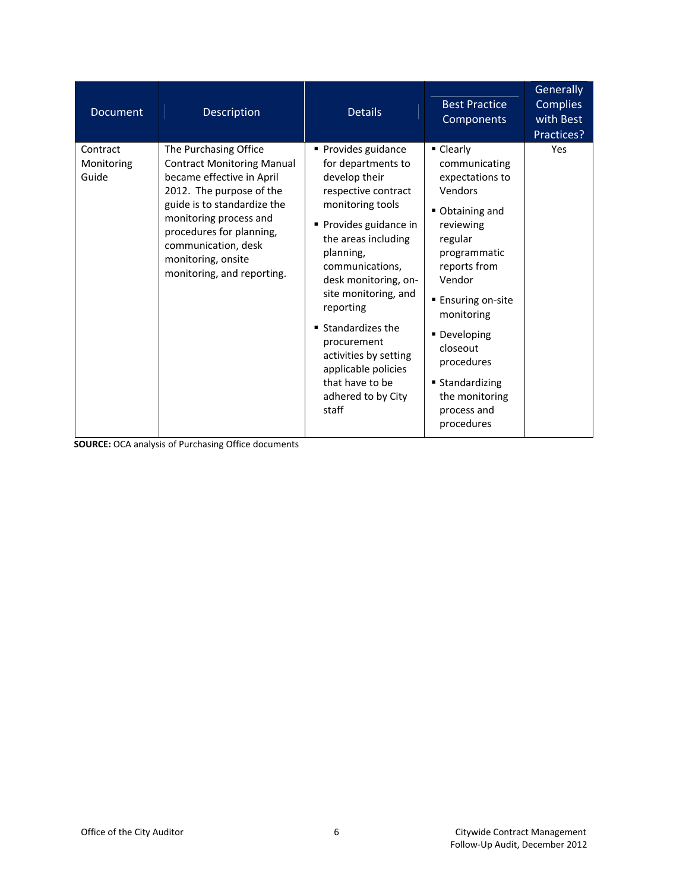| <b>Document</b>                 | <b>Description</b>                                                                                                                                                                                                                                                                  | <b>Details</b>                                                                                                                                                                                                                                                                                                                                                                           | <b>Best Practice</b><br>Components                                                                                                                                                                                                                                                                            | Generally<br><b>Complies</b><br>with Best<br>Practices? |
|---------------------------------|-------------------------------------------------------------------------------------------------------------------------------------------------------------------------------------------------------------------------------------------------------------------------------------|------------------------------------------------------------------------------------------------------------------------------------------------------------------------------------------------------------------------------------------------------------------------------------------------------------------------------------------------------------------------------------------|---------------------------------------------------------------------------------------------------------------------------------------------------------------------------------------------------------------------------------------------------------------------------------------------------------------|---------------------------------------------------------|
| Contract<br>Monitoring<br>Guide | The Purchasing Office<br><b>Contract Monitoring Manual</b><br>became effective in April<br>2012. The purpose of the<br>guide is to standardize the<br>monitoring process and<br>procedures for planning,<br>communication, desk<br>monitoring, onsite<br>monitoring, and reporting. | ■ Provides guidance<br>for departments to<br>develop their<br>respective contract<br>monitoring tools<br>Provides guidance in<br>the areas including<br>planning,<br>communications,<br>desk monitoring, on-<br>site monitoring, and<br>reporting<br>■ Standardizes the<br>procurement<br>activities by setting<br>applicable policies<br>that have to be<br>adhered to by City<br>staff | $\blacksquare$ Clearly<br>communicating<br>expectations to<br>Vendors<br>Obtaining and<br>reviewing<br>regular<br>programmatic<br>reports from<br>Vendor<br><b>Ensuring on-site</b><br>monitoring<br>• Developing<br>closeout<br>procedures<br>■ Standardizing<br>the monitoring<br>process and<br>procedures | Yes                                                     |

 **SOURCE:** OCA analysis of Purchasing Office documents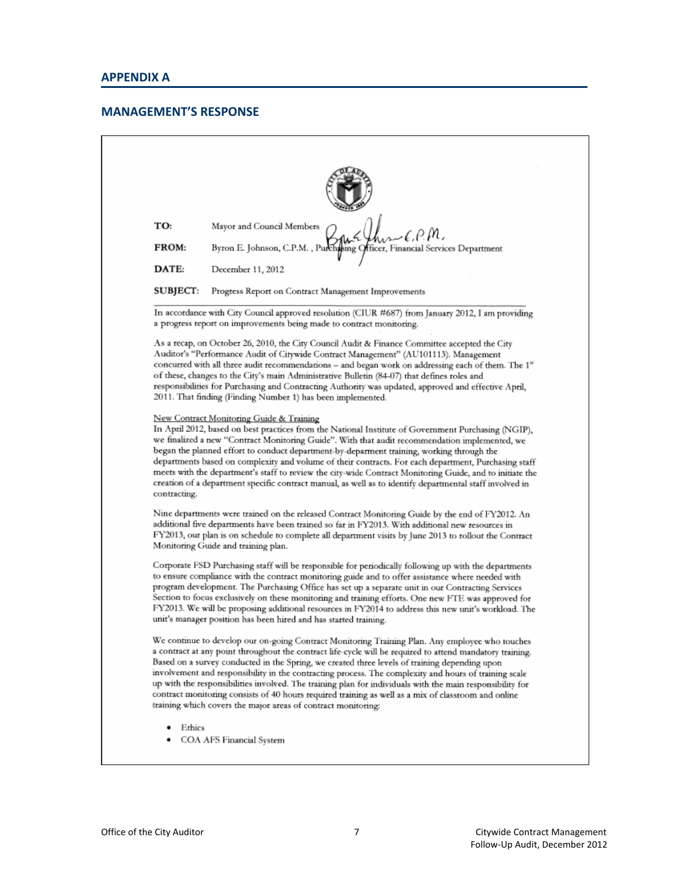#### **MANAGEMENT'S RESPONSE**

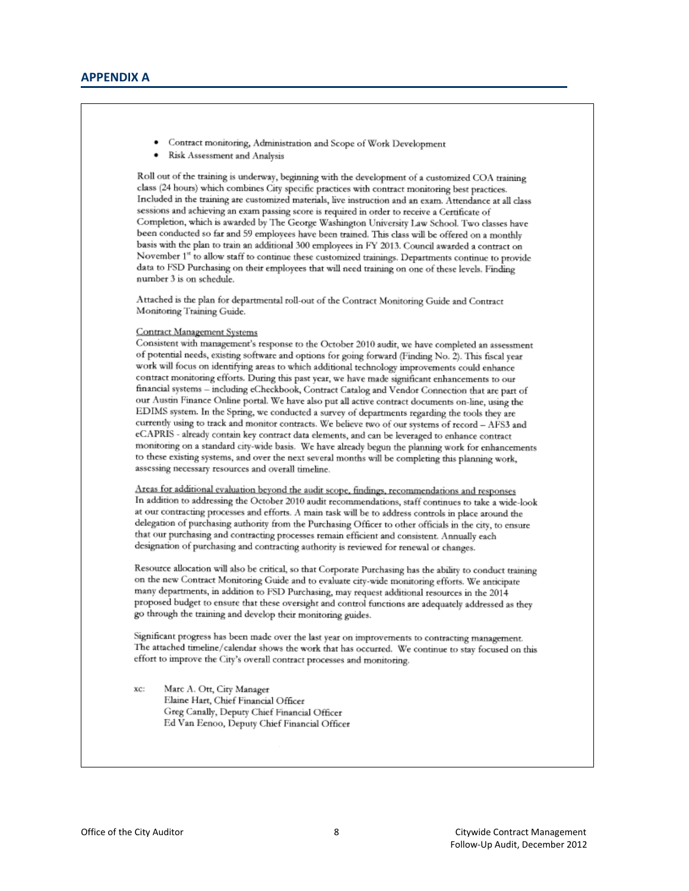- Contract monitoring, Administration and Scope of Work Development
- Risk Assessment and Analysis

Roll out of the training is underway, beginning with the development of a customized COA training class (24 hours) which combines City specific practices with contract monitoring best practices. Included in the training are customized materials, live instruction and an exam. Attendance at all class sessions and achieving an exam passing score is required in order to receive a Certificate of Completion, which is awarded by The George Washington University Law School. Two classes have been conducted so far and 59 employees have been trained. This class will be offered on a monthly basis with the plan to train an additional 300 employees in FY 2013. Council awarded a contract on November 1<sup>"</sup> to allow staff to continue these customized trainings. Departments continue to provide data to FSD Purchasing on their employees that will need training on one of these levels. Finding number 3 is on schedule.

Attached is the plan for departmental roll-out of the Contract Monitoring Guide and Contract Monitoring Training Guide.

#### **Contract Management Systems**

Consistent with management's response to the October 2010 audit, we have completed an assessment of potential needs, existing software and options for going forward (Finding No. 2). This fiscal year work will focus on identifying areas to which additional technology improvements could enhance contract monitoring efforts. During this past year, we have made significant enhancements to our financial systems - including eCheckbook, Contract Catalog and Vendor Connection that are part of our Austin Finance Online portal. We have also put all active contract documents on-line, using the EDIMS system. In the Spring, we conducted a survey of departments regarding the tools they are currently using to track and monitor contracts. We believe two of our systems of record - AFS3 and eCAPRIS - already contain key contract data elements, and can be leveraged to enhance contract monitoring on a standard city-wide basis. We have already begun the planning work for enhancements to these existing systems, and over the next several months will be completing this planning work, assessing necessary resources and overall timeline.

Areas for additional evaluation beyond the audit scope, findings, recommendations and responses In addition to addressing the October 2010 audit recommendations, staff continues to take a wide-look at our contracting processes and efforts. A main task will be to address controls in place around the delegation of purchasing authority from the Purchasing Officer to other officials in the city, to ensure that our purchasing and contracting processes remain efficient and consistent. Annually each designation of purchasing and contracting authority is reviewed for renewal or changes.

Resource allocation will also be critical, so that Corporate Purchasing has the ability to conduct training on the new Contract Monitoring Guide and to evaluate city-wide monitoring efforts. We anticipate many departments, in addition to FSD Purchasing, may request additional resources in the 2014 proposed budget to ensure that these oversight and control functions are adequately addressed as they go through the training and develop their monitoring guides.

Significant progress has been made over the last year on improvements to contracting management. The attached timeline/calendar shows the work that has occurred. We continue to stay focused on this effort to improve the City's overall contract processes and monitoring.

XC: Marc A. Ott, City Manager Elaine Hart, Chief Financial Officer Greg Canally, Deputy Chief Financial Officer Ed Van Eenoo, Deputy Chief Financial Officer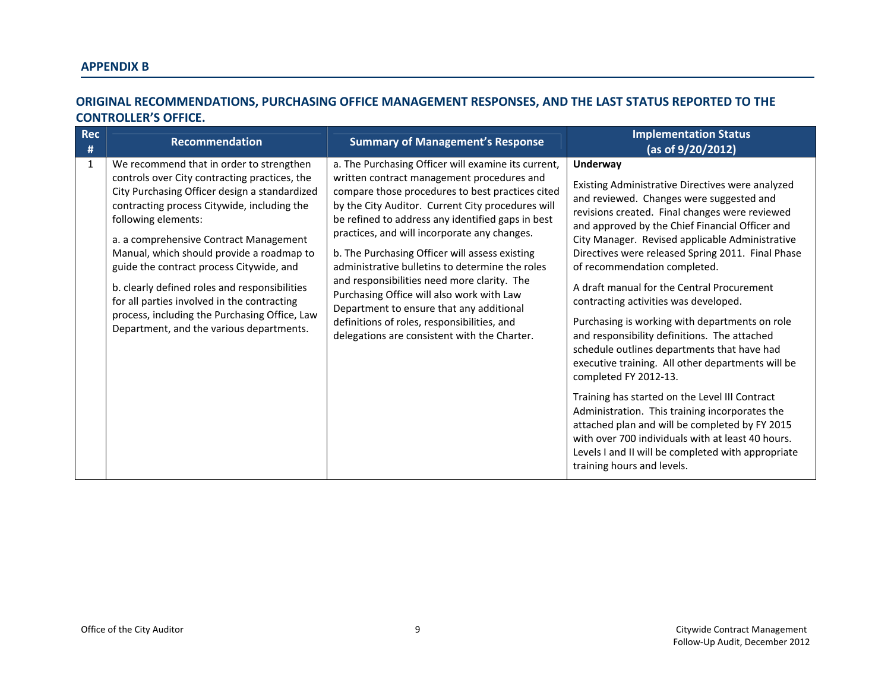#### **ORIGINAL RECOMMENDATIONS, PURCHASING OFFICE MANAGEMENT RESPONSES, AND THE LAST STATUS REPORTED TO THE CONTROLLER'S OFFICE.**

| <b>Rec</b><br># | <b>Recommendation</b>                                                                                                                                                                                                                                                                                                                                                                                                                                                                                                                            | <b>Summary of Management's Response</b>                                                                                                                                                                                                                                                                                                                                                                                                                                                                                                                                                                                                                     | <b>Implementation Status</b><br>(as of 9/20/2012)                                                                                                                                                                                                                                                                                                                                                                                                                                                                                                                                                                                                                                                                                                                                                                                                                                                                                                                          |
|-----------------|--------------------------------------------------------------------------------------------------------------------------------------------------------------------------------------------------------------------------------------------------------------------------------------------------------------------------------------------------------------------------------------------------------------------------------------------------------------------------------------------------------------------------------------------------|-------------------------------------------------------------------------------------------------------------------------------------------------------------------------------------------------------------------------------------------------------------------------------------------------------------------------------------------------------------------------------------------------------------------------------------------------------------------------------------------------------------------------------------------------------------------------------------------------------------------------------------------------------------|----------------------------------------------------------------------------------------------------------------------------------------------------------------------------------------------------------------------------------------------------------------------------------------------------------------------------------------------------------------------------------------------------------------------------------------------------------------------------------------------------------------------------------------------------------------------------------------------------------------------------------------------------------------------------------------------------------------------------------------------------------------------------------------------------------------------------------------------------------------------------------------------------------------------------------------------------------------------------|
| 1               | We recommend that in order to strengthen<br>controls over City contracting practices, the<br>City Purchasing Officer design a standardized<br>contracting process Citywide, including the<br>following elements:<br>a. a comprehensive Contract Management<br>Manual, which should provide a roadmap to<br>guide the contract process Citywide, and<br>b. clearly defined roles and responsibilities<br>for all parties involved in the contracting<br>process, including the Purchasing Office, Law<br>Department, and the various departments. | a. The Purchasing Officer will examine its current,<br>written contract management procedures and<br>compare those procedures to best practices cited<br>by the City Auditor. Current City procedures will<br>be refined to address any identified gaps in best<br>practices, and will incorporate any changes.<br>b. The Purchasing Officer will assess existing<br>administrative bulletins to determine the roles<br>and responsibilities need more clarity. The<br>Purchasing Office will also work with Law<br>Department to ensure that any additional<br>definitions of roles, responsibilities, and<br>delegations are consistent with the Charter. | Underway<br>Existing Administrative Directives were analyzed<br>and reviewed. Changes were suggested and<br>revisions created. Final changes were reviewed<br>and approved by the Chief Financial Officer and<br>City Manager. Revised applicable Administrative<br>Directives were released Spring 2011. Final Phase<br>of recommendation completed.<br>A draft manual for the Central Procurement<br>contracting activities was developed.<br>Purchasing is working with departments on role<br>and responsibility definitions. The attached<br>schedule outlines departments that have had<br>executive training. All other departments will be<br>completed FY 2012-13.<br>Training has started on the Level III Contract<br>Administration. This training incorporates the<br>attached plan and will be completed by FY 2015<br>with over 700 individuals with at least 40 hours.<br>Levels I and II will be completed with appropriate<br>training hours and levels. |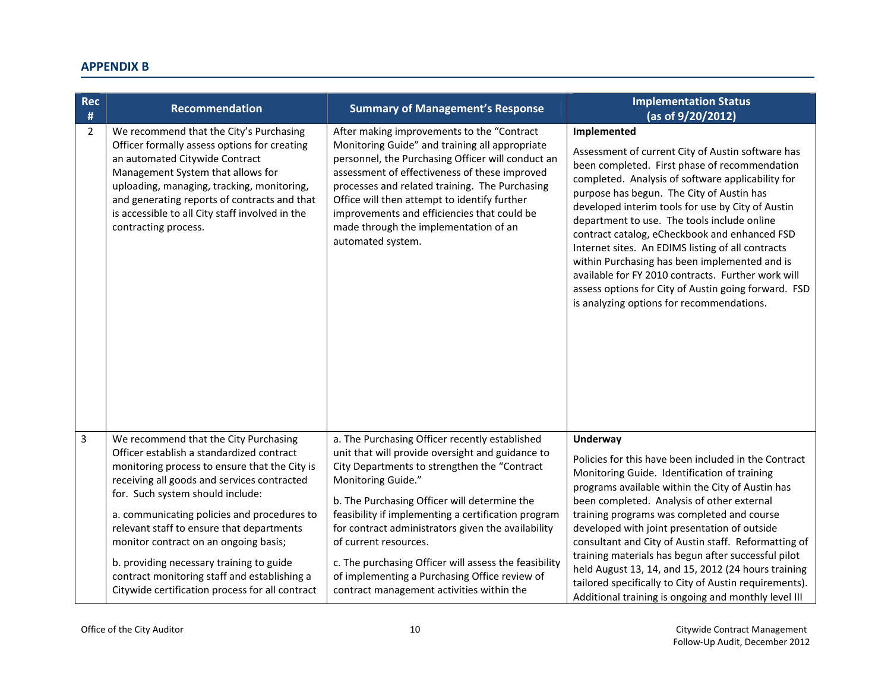#### **APPENDIX B**

| <b>Rec</b><br># | <b>Recommendation</b>                                                                                                                                                                                                                                                                                                                                                                                                                                                                                      | <b>Summary of Management's Response</b>                                                                                                                                                                                                                                                                                                                                                                                                                                                                               | <b>Implementation Status</b><br>(as of 9/20/2012)                                                                                                                                                                                                                                                                                                                                                                                                                                                                                                                                                                                         |
|-----------------|------------------------------------------------------------------------------------------------------------------------------------------------------------------------------------------------------------------------------------------------------------------------------------------------------------------------------------------------------------------------------------------------------------------------------------------------------------------------------------------------------------|-----------------------------------------------------------------------------------------------------------------------------------------------------------------------------------------------------------------------------------------------------------------------------------------------------------------------------------------------------------------------------------------------------------------------------------------------------------------------------------------------------------------------|-------------------------------------------------------------------------------------------------------------------------------------------------------------------------------------------------------------------------------------------------------------------------------------------------------------------------------------------------------------------------------------------------------------------------------------------------------------------------------------------------------------------------------------------------------------------------------------------------------------------------------------------|
| $\overline{2}$  | We recommend that the City's Purchasing<br>Officer formally assess options for creating<br>an automated Citywide Contract<br>Management System that allows for<br>uploading, managing, tracking, monitoring,<br>and generating reports of contracts and that<br>is accessible to all City staff involved in the<br>contracting process.                                                                                                                                                                    | After making improvements to the "Contract<br>Monitoring Guide" and training all appropriate<br>personnel, the Purchasing Officer will conduct an<br>assessment of effectiveness of these improved<br>processes and related training. The Purchasing<br>Office will then attempt to identify further<br>improvements and efficiencies that could be<br>made through the implementation of an<br>automated system.                                                                                                     | Implemented<br>Assessment of current City of Austin software has<br>been completed. First phase of recommendation<br>completed. Analysis of software applicability for<br>purpose has begun. The City of Austin has<br>developed interim tools for use by City of Austin<br>department to use. The tools include online<br>contract catalog, eCheckbook and enhanced FSD<br>Internet sites. An EDIMS listing of all contracts<br>within Purchasing has been implemented and is<br>available for FY 2010 contracts. Further work will<br>assess options for City of Austin going forward. FSD<br>is analyzing options for recommendations. |
| $\overline{3}$  | We recommend that the City Purchasing<br>Officer establish a standardized contract<br>monitoring process to ensure that the City is<br>receiving all goods and services contracted<br>for. Such system should include:<br>a. communicating policies and procedures to<br>relevant staff to ensure that departments<br>monitor contract on an ongoing basis;<br>b. providing necessary training to guide<br>contract monitoring staff and establishing a<br>Citywide certification process for all contract | a. The Purchasing Officer recently established<br>unit that will provide oversight and guidance to<br>City Departments to strengthen the "Contract<br>Monitoring Guide."<br>b. The Purchasing Officer will determine the<br>feasibility if implementing a certification program<br>for contract administrators given the availability<br>of current resources.<br>c. The purchasing Officer will assess the feasibility<br>of implementing a Purchasing Office review of<br>contract management activities within the | <b>Underway</b><br>Policies for this have been included in the Contract<br>Monitoring Guide. Identification of training<br>programs available within the City of Austin has<br>been completed. Analysis of other external<br>training programs was completed and course<br>developed with joint presentation of outside<br>consultant and City of Austin staff. Reformatting of<br>training materials has begun after successful pilot<br>held August 13, 14, and 15, 2012 (24 hours training<br>tailored specifically to City of Austin requirements).<br>Additional training is ongoing and monthly level III                           |